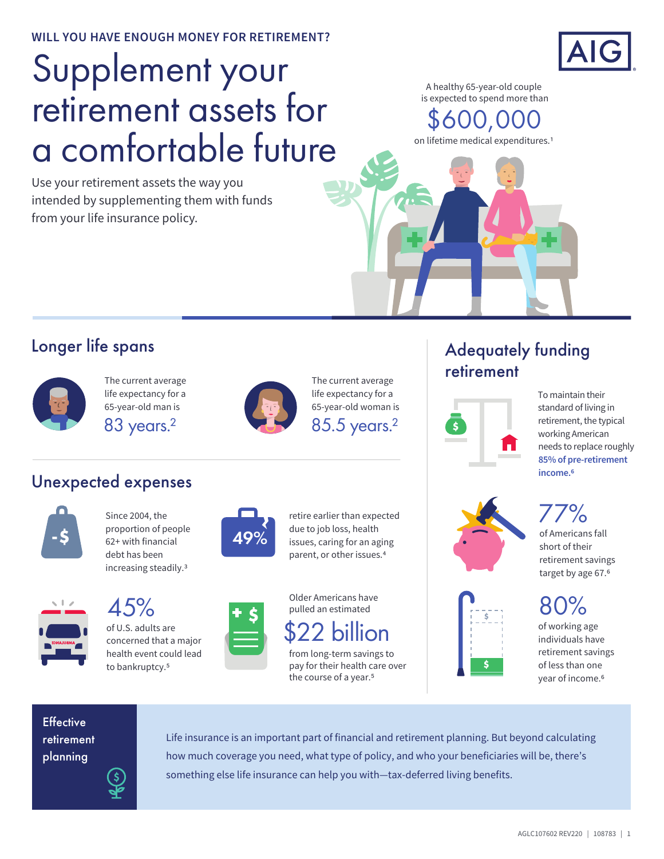**WILL YOU HAVE ENOUGH MONEY FOR RETIREMENT?**

# Supplement your retirement assets for a comfortable future

Use your retirement assets the way you intended by supplementing them with funds from your life insurance policy.



A healthy 65-year-old couple is expected to spend more than

00,0

on lifetime medical expenditures.1

#### Longer life spans



The current average life expectancy for a 65-year-old man is



The current average life expectancy for a 65-year-old woman is

### Unexpected expenses



Since 2004, the proportion of people **-\$ 62**+ with financial **49%** debt has been increasing steadily.3

> of U.S. adults are concerned that a major health event could lead to bankruptcy.<sup>5</sup>



retire earlier than expected due to job loss, health issues, caring for an aging parent, or other issues.4



2 billion

from long-term savings to pay for their health care over the course of a year.<sup>5</sup>

# Adequately funding retirement



To maintain their standard of living in retirement, the typical working American needs to replace roughly **85% of pre-retirement income.6**





of Americans fall short of their retirement savings target by age 67.<sup>6</sup> 77%

 $80\%$  of working age

individuals have retirement savings of less than one year of income.6

**Effective** retirement planning

Life insurance is an important part of financial and retirement planning. But beyond calculating how much coverage you need, what type of policy, and who your beneficiaries will be, there's something else life insurance can help you with—tax-deferred living benefits.